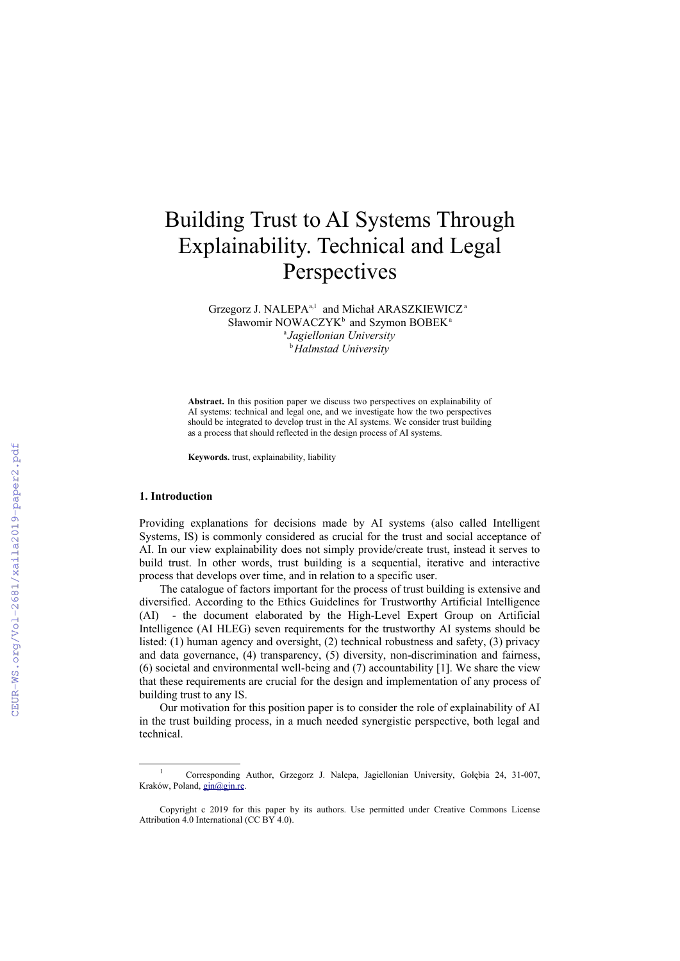# Building Trust to AI Systems Through Explainability. Technical and Legal Perspectives

Grzegorz J. NALEPA<sup>a,[1](#page-0-0)</sup> and Michał ARASZKIEWICZ<sup>a</sup> Sławomir NOWACZYK<sup>b</sup> and Szymon BOBEK<sup>a</sup> a *Jagiellonian University* <sup>b</sup>*Halmstad University*

**Abstract.** In this position paper we discuss two perspectives on explainability of AI systems: technical and legal one, and we investigate how the two perspectives should be integrated to develop trust in the AI systems. We consider trust building as a process that should reflected in the design process of AI systems.

**Keywords.** trust, explainability, liability

#### **1. Introduction**

Providing explanations for decisions made by AI systems (also called Intelligent Systems, IS) is commonly considered as crucial for the trust and social acceptance of AI. In our view explainability does not simply provide/create trust, instead it serves to build trust. In other words, trust building is a sequential, iterative and interactive process that develops over time, and in relation to a specific user.

The catalogue of factors important for the process of trust building is extensive and diversified. According to the Ethics Guidelines for Trustworthy Artificial Intelligence (AI) - the document elaborated by the High-Level Expert Group on Artificial Intelligence (AI HLEG) seven requirements for the trustworthy AI systems should be listed: (1) human agency and oversight, (2) technical robustness and safety, (3) privacy and data governance, (4) transparency, (5) diversity, non-discrimination and fairness, (6) societal and environmental well-being and (7) accountability [1]. We share the view that these requirements are crucial for the design and implementation of any process of building trust to any IS.

Our motivation for this position paper is to consider the role of explainability of AI in the trust building process, in a much needed synergistic perspective, both legal and technical.

<span id="page-0-0"></span><sup>1</sup> Corresponding Author, Grzegorz J. Nalepa, Jagiellonian University, Gołębia 24, 31-007, Kraków, Poland, [gjn@gjn.re](mailto:gjn@gjn.re).

Copyright c 2019 for this paper by its authors. Use permitted under Creative Commons License Attribution 4.0 International (CC BY 4.0).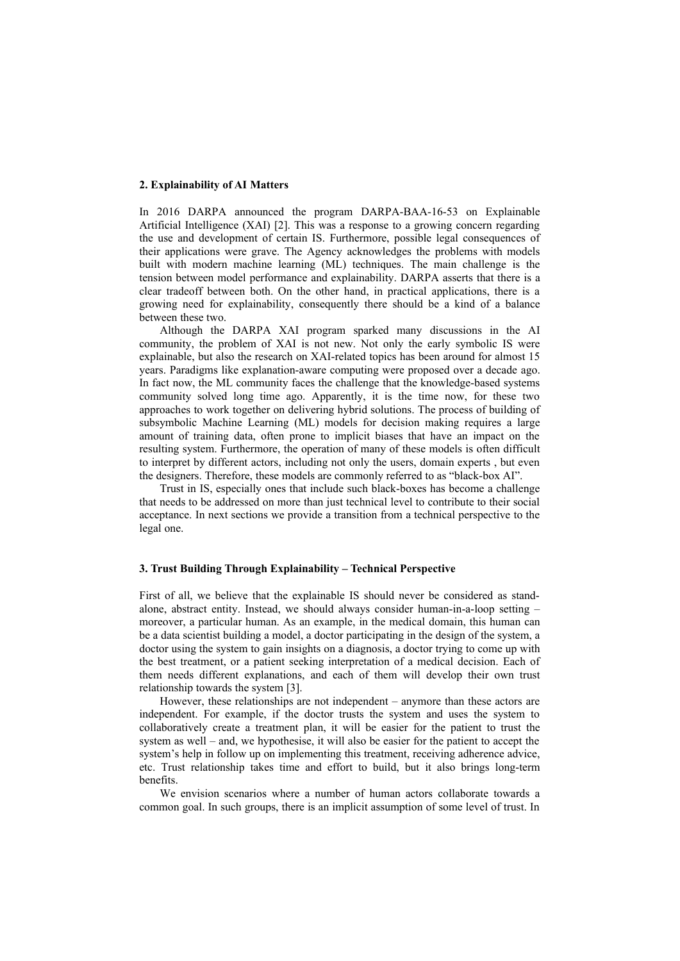## **2. Explainability of AI Matters**

In 2016 DARPA announced the program DARPA-BAA-16-53 on Explainable Artificial Intelligence (XAI) [2]. This was a response to a growing concern regarding the use and development of certain IS. Furthermore, possible legal consequences of their applications were grave. The Agency acknowledges the problems with models built with modern machine learning (ML) techniques. The main challenge is the tension between model performance and explainability. DARPA asserts that there is a clear tradeoff between both. On the other hand, in practical applications, there is a growing need for explainability, consequently there should be a kind of a balance between these two.

Although the DARPA XAI program sparked many discussions in the AI community, the problem of XAI is not new. Not only the early symbolic IS were explainable, but also the research on XAI-related topics has been around for almost 15 years. Paradigms like explanation-aware computing were proposed over a decade ago. In fact now, the ML community faces the challenge that the knowledge-based systems community solved long time ago. Apparently, it is the time now, for these two approaches to work together on delivering hybrid solutions. The process of building of subsymbolic Machine Learning (ML) models for decision making requires a large amount of training data, often prone to implicit biases that have an impact on the resulting system. Furthermore, the operation of many of these models is often difficult to interpret by different actors, including not only the users, domain experts , but even the designers. Therefore, these models are commonly referred to as "black-box AI".

Trust in IS, especially ones that include such black-boxes has become a challenge that needs to be addressed on more than just technical level to contribute to their social acceptance. In next sections we provide a transition from a technical perspective to the legal one.

## **3. Trust Building Through Explainability – Technical Perspective**

First of all, we believe that the explainable IS should never be considered as standalone, abstract entity. Instead, we should always consider human-in-a-loop setting – moreover, a particular human. As an example, in the medical domain, this human can be a data scientist building a model, a doctor participating in the design of the system, a doctor using the system to gain insights on a diagnosis, a doctor trying to come up with the best treatment, or a patient seeking interpretation of a medical decision. Each of them needs different explanations, and each of them will develop their own trust relationship towards the system [3].

However, these relationships are not independent – anymore than these actors are independent. For example, if the doctor trusts the system and uses the system to collaboratively create a treatment plan, it will be easier for the patient to trust the system as well – and, we hypothesise, it will also be easier for the patient to accept the system's help in follow up on implementing this treatment, receiving adherence advice, etc. Trust relationship takes time and effort to build, but it also brings long-term benefits.

We envision scenarios where a number of human actors collaborate towards a common goal. In such groups, there is an implicit assumption of some level of trust. In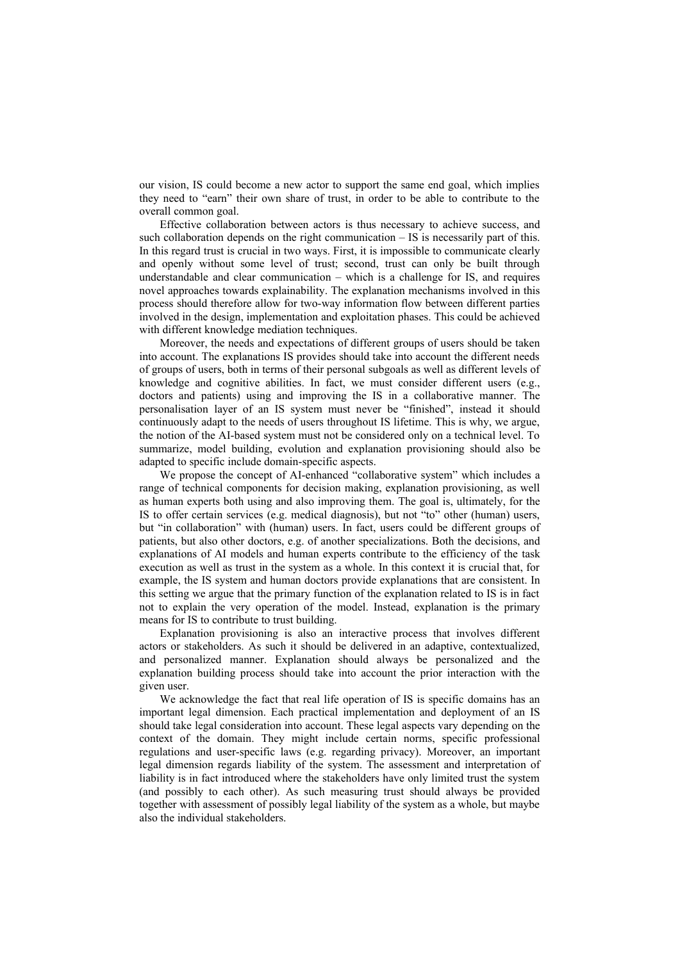our vision, IS could become a new actor to support the same end goal, which implies they need to "earn" their own share of trust, in order to be able to contribute to the overall common goal.

Effective collaboration between actors is thus necessary to achieve success, and such collaboration depends on the right communication – IS is necessarily part of this. In this regard trust is crucial in two ways. First, it is impossible to communicate clearly and openly without some level of trust; second, trust can only be built through understandable and clear communication – which is a challenge for IS, and requires novel approaches towards explainability. The explanation mechanisms involved in this process should therefore allow for two-way information flow between different parties involved in the design, implementation and exploitation phases. This could be achieved with different knowledge mediation techniques.

Moreover, the needs and expectations of different groups of users should be taken into account. The explanations IS provides should take into account the different needs of groups of users, both in terms of their personal subgoals as well as different levels of knowledge and cognitive abilities. In fact, we must consider different users (e.g., doctors and patients) using and improving the IS in a collaborative manner. The personalisation layer of an IS system must never be "finished", instead it should continuously adapt to the needs of users throughout IS lifetime. This is why, we argue, the notion of the AI-based system must not be considered only on a technical level. To summarize, model building, evolution and explanation provisioning should also be adapted to specific include domain-specific aspects.

We propose the concept of AI-enhanced "collaborative system" which includes a range of technical components for decision making, explanation provisioning, as well as human experts both using and also improving them. The goal is, ultimately, for the IS to offer certain services (e.g. medical diagnosis), but not "to" other (human) users, but "in collaboration" with (human) users. In fact, users could be different groups of patients, but also other doctors, e.g. of another specializations. Both the decisions, and explanations of AI models and human experts contribute to the efficiency of the task execution as well as trust in the system as a whole. In this context it is crucial that, for example, the IS system and human doctors provide explanations that are consistent. In this setting we argue that the primary function of the explanation related to IS is in fact not to explain the very operation of the model. Instead, explanation is the primary means for IS to contribute to trust building.

Explanation provisioning is also an interactive process that involves different actors or stakeholders. As such it should be delivered in an adaptive, contextualized, and personalized manner. Explanation should always be personalized and the explanation building process should take into account the prior interaction with the given user.

We acknowledge the fact that real life operation of IS is specific domains has an important legal dimension. Each practical implementation and deployment of an IS should take legal consideration into account. These legal aspects vary depending on the context of the domain. They might include certain norms, specific professional regulations and user-specific laws (e.g. regarding privacy). Moreover, an important legal dimension regards liability of the system. The assessment and interpretation of liability is in fact introduced where the stakeholders have only limited trust the system (and possibly to each other). As such measuring trust should always be provided together with assessment of possibly legal liability of the system as a whole, but maybe also the individual stakeholders.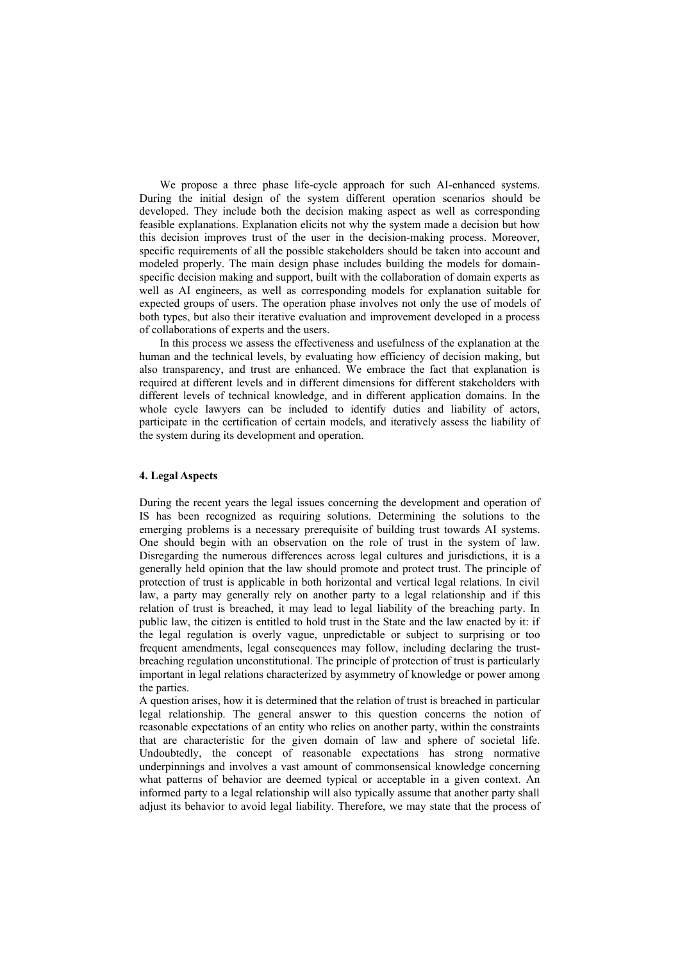We propose a three phase life-cycle approach for such AI-enhanced systems. During the initial design of the system different operation scenarios should be developed. They include both the decision making aspect as well as corresponding feasible explanations. Explanation elicits not why the system made a decision but how this decision improves trust of the user in the decision-making process. Moreover, specific requirements of all the possible stakeholders should be taken into account and modeled properly. The main design phase includes building the models for domainspecific decision making and support, built with the collaboration of domain experts as well as AI engineers, as well as corresponding models for explanation suitable for expected groups of users. The operation phase involves not only the use of models of both types, but also their iterative evaluation and improvement developed in a process of collaborations of experts and the users.

In this process we assess the effectiveness and usefulness of the explanation at the human and the technical levels, by evaluating how efficiency of decision making, but also transparency, and trust are enhanced. We embrace the fact that explanation is required at different levels and in different dimensions for different stakeholders with different levels of technical knowledge, and in different application domains. In the whole cycle lawyers can be included to identify duties and liability of actors, participate in the certification of certain models, and iteratively assess the liability of the system during its development and operation.

## **4. Legal Aspects**

During the recent years the legal issues concerning the development and operation of IS has been recognized as requiring solutions. Determining the solutions to the emerging problems is a necessary prerequisite of building trust towards AI systems. One should begin with an observation on the role of trust in the system of law. Disregarding the numerous differences across legal cultures and jurisdictions, it is a generally held opinion that the law should promote and protect trust. The principle of protection of trust is applicable in both horizontal and vertical legal relations. In civil law, a party may generally rely on another party to a legal relationship and if this relation of trust is breached, it may lead to legal liability of the breaching party. In public law, the citizen is entitled to hold trust in the State and the law enacted by it: if the legal regulation is overly vague, unpredictable or subject to surprising or too frequent amendments, legal consequences may follow, including declaring the trustbreaching regulation unconstitutional. The principle of protection of trust is particularly important in legal relations characterized by asymmetry of knowledge or power among the parties.

A question arises, how it is determined that the relation of trust is breached in particular legal relationship. The general answer to this question concerns the notion of reasonable expectations of an entity who relies on another party, within the constraints that are characteristic for the given domain of law and sphere of societal life. Undoubtedly, the concept of reasonable expectations has strong normative underpinnings and involves a vast amount of commonsensical knowledge concerning what patterns of behavior are deemed typical or acceptable in a given context. An informed party to a legal relationship will also typically assume that another party shall adjust its behavior to avoid legal liability. Therefore, we may state that the process of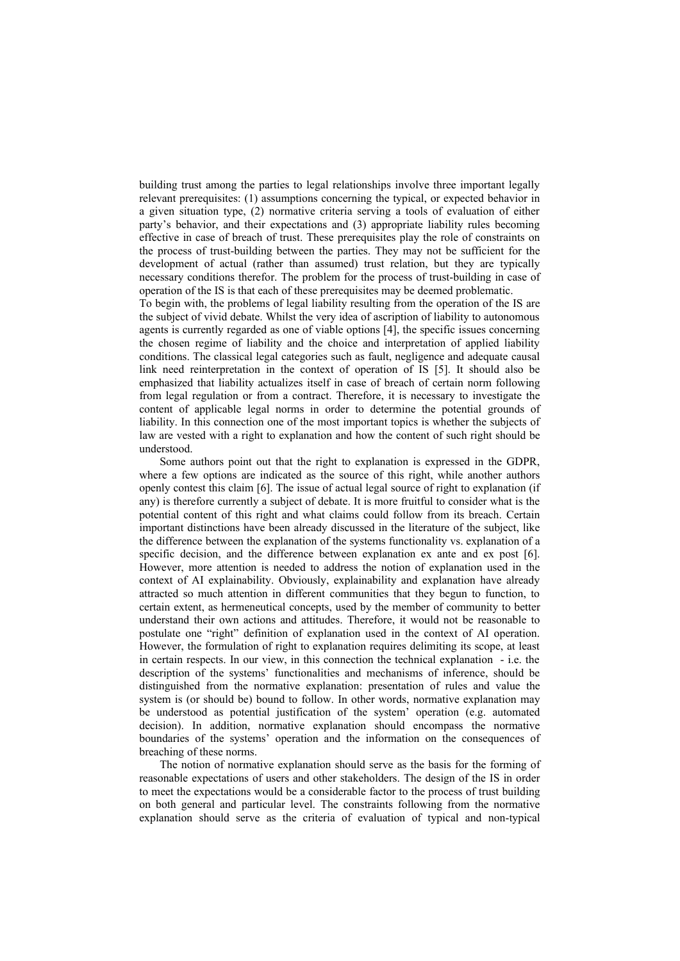building trust among the parties to legal relationships involve three important legally relevant prerequisites: (1) assumptions concerning the typical, or expected behavior in a given situation type, (2) normative criteria serving a tools of evaluation of either party's behavior, and their expectations and (3) appropriate liability rules becoming effective in case of breach of trust. These prerequisites play the role of constraints on the process of trust-building between the parties. They may not be sufficient for the development of actual (rather than assumed) trust relation, but they are typically necessary conditions therefor. The problem for the process of trust-building in case of operation of the IS is that each of these prerequisites may be deemed problematic.

To begin with, the problems of legal liability resulting from the operation of the IS are the subject of vivid debate. Whilst the very idea of ascription of liability to autonomous agents is currently regarded as one of viable options [4], the specific issues concerning the chosen regime of liability and the choice and interpretation of applied liability conditions. The classical legal categories such as fault, negligence and adequate causal link need reinterpretation in the context of operation of IS [5]. It should also be emphasized that liability actualizes itself in case of breach of certain norm following from legal regulation or from a contract. Therefore, it is necessary to investigate the content of applicable legal norms in order to determine the potential grounds of liability. In this connection one of the most important topics is whether the subjects of law are vested with a right to explanation and how the content of such right should be understood.

Some authors point out that the right to explanation is expressed in the GDPR, where a few options are indicated as the source of this right, while another authors openly contest this claim [6]. The issue of actual legal source of right to explanation (if any) is therefore currently a subject of debate. It is more fruitful to consider what is the potential content of this right and what claims could follow from its breach. Certain important distinctions have been already discussed in the literature of the subject, like the difference between the explanation of the systems functionality vs. explanation of a specific decision, and the difference between explanation ex ante and ex post [6]. However, more attention is needed to address the notion of explanation used in the context of AI explainability. Obviously, explainability and explanation have already attracted so much attention in different communities that they begun to function, to certain extent, as hermeneutical concepts, used by the member of community to better understand their own actions and attitudes. Therefore, it would not be reasonable to postulate one "right" definition of explanation used in the context of AI operation. However, the formulation of right to explanation requires delimiting its scope, at least in certain respects. In our view, in this connection the technical explanation - i.e. the description of the systems' functionalities and mechanisms of inference, should be distinguished from the normative explanation: presentation of rules and value the system is (or should be) bound to follow. In other words, normative explanation may be understood as potential justification of the system' operation (e.g. automated decision). In addition, normative explanation should encompass the normative boundaries of the systems' operation and the information on the consequences of breaching of these norms.

The notion of normative explanation should serve as the basis for the forming of reasonable expectations of users and other stakeholders. The design of the IS in order to meet the expectations would be a considerable factor to the process of trust building on both general and particular level. The constraints following from the normative explanation should serve as the criteria of evaluation of typical and non-typical